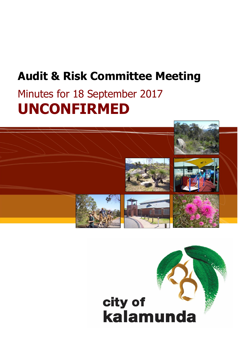# **Audit & Risk Committee Meeting**

# Minutes for 18 September 2017 **UNCONFIRMED**



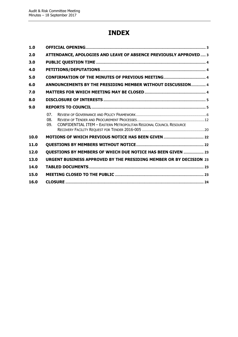## **INDEX**

| 1.0  |                   |                                                                           |  |  |
|------|-------------------|---------------------------------------------------------------------------|--|--|
| 2.0  |                   | ATTENDANCE, APOLOGIES AND LEAVE OF ABSENCE PREVIOUSLY APPROVED 3          |  |  |
| 3.0  |                   |                                                                           |  |  |
| 4.0  |                   |                                                                           |  |  |
| 5.0  |                   |                                                                           |  |  |
| 6.0  |                   | ANNOUNCEMENTS BY THE PRESIDING MEMBER WITHOUT DISCUSSION 4                |  |  |
| 7.0  |                   |                                                                           |  |  |
| 8.0  |                   |                                                                           |  |  |
| 9.0  |                   |                                                                           |  |  |
|      | 07.<br>08.<br>09. | <b>CONFIDENTIAL ITEM - EASTERN METROPOLITAN REGIONAL COUNCIL RESOURCE</b> |  |  |
| 10.0 |                   |                                                                           |  |  |
| 11.0 |                   |                                                                           |  |  |
| 12.0 |                   | QUESTIONS BY MEMBERS OF WHICH DUE NOTICE HAS BEEN GIVEN  23               |  |  |
| 13.0 |                   | URGENT BUSINESS APPROVED BY THE PRESIDING MEMBER OR BY DECISION 23        |  |  |
| 14.0 |                   |                                                                           |  |  |
| 15.0 |                   |                                                                           |  |  |
| 16.0 |                   |                                                                           |  |  |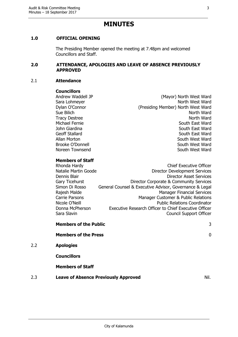## **MINUTES**

## <span id="page-2-0"></span>**1.0 OFFICIAL OPENING**

The Presiding Member opened the meeting at 7.48pm and welcomed Councillors and Staff.

#### <span id="page-2-1"></span>**2.0 ATTENDANCE, APOLOGIES AND LEAVE OF ABSENCE PREVIOUSLY APPROVED**

#### 2.1 **Attendance**

 $2.2$ 

#### **Councillors**

Andrew Waddell JP (Mayor) North West Ward Sara Lohmeyer North West Ward Dylan O'Connor (Presiding Member) North West Ward Sue Bilich North Ward Tracy Destree North Ward Michael Fernie South East Ward John Giardina National South East Ward Geoff Stallard South East Ward Allan Morton **South West Ward** Brooke O'Donnell South West Ward Noreen Townsend **South West Ward** 

## **Members of Staff**

| Rhonda Hardy          | <b>Chief Executive Officer</b>                          |
|-----------------------|---------------------------------------------------------|
| Natalie Martin Goode  | <b>Director Development Services</b>                    |
| Dennis Blair          | <b>Director Asset Services</b>                          |
| <b>Gary Ticehurst</b> | Director Corporate & Community Services                 |
| Simon Di Rosso        | General Counsel & Executive Advisor, Governance & Legal |
| Rajesh Malde          | <b>Manager Financial Services</b>                       |
| <b>Carrie Parsons</b> | Manager Customer & Public Relations                     |
| Nicole O'Neill        | <b>Public Relations Coordinator</b>                     |
| Donna McPherson       | Executive Research Officer to Chief Executive Officer   |
| Sara Slavin           | <b>Council Support Officer</b>                          |
|                       |                                                         |

|     | <b>Members of the Public</b>                | 3                |
|-----|---------------------------------------------|------------------|
|     | <b>Members of the Press</b>                 | $\boldsymbol{0}$ |
| 2.2 | <b>Apologies</b>                            |                  |
|     | <b>Councillors</b>                          |                  |
|     | <b>Members of Staff</b>                     |                  |
| 2.3 | <b>Leave of Absence Previously Approved</b> | Nil.             |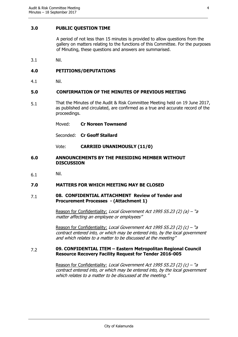## <span id="page-3-0"></span>**3.0 PUBLIC QUESTION TIME**

A period of not less than 15 minutes is provided to allow questions from the gallery on matters relating to the functions of this Committee. For the purposes of Minuting, these questions and answers are summarised.

3.1 Nil.

## <span id="page-3-1"></span>**4.0 PETITIONS/DEPUTATIONS**

4.1 Nil.

## <span id="page-3-2"></span>**5.0 CONFIRMATION OF THE MINUTES OF PREVIOUS MEETING**

- 5.1 That the Minutes of the Audit & Risk Committee Meeting held on 19 June 2017, as published and circulated, are confirmed as a true and accurate record of the proceedings.
	- Moved: **Cr Noreen Townsend**

Seconded: **Cr Geoff Stallard**

Vote: **CARRIED UNANIMOUSLY (11/0)**

### <span id="page-3-3"></span>**6.0 ANNOUNCEMENTS BY THE PRESIDING MEMBER WITHOUT DISCUSSION**

6.1 Nil.

## <span id="page-3-4"></span>**7.0 MATTERS FOR WHICH MEETING MAY BE CLOSED**

#### 7.1 **08. CONFIDENTIAL ATTACHMENT Review of Tender and Procurement Processes - (Attachment 1)**

Reason for Confidentiality: Local Government Act 1995 S5.23 (2) (a) – "a matter affecting an employee or employees"

Reason for Confidentiality: Local Government Act 1995 S5.23 (2) (c) – "a contract entered into, or which may be entered into, by the local government and which relates to a matter to be discussed at the meeting"

#### 7.2 **09. CONFIDENTIAL ITEM – Eastern Metropolitan Regional Council Resource Recovery Facility Request for Tender 2016-005**

Reason for Confidentiality: Local Government Act 1995 S5.23 (2) (c) – "a contract entered into, or which may be entered into, by the local government which relates to a matter to be discussed at the meeting."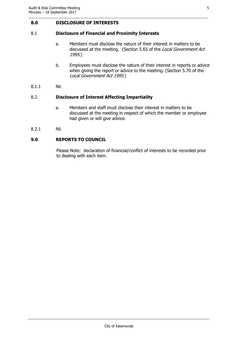## <span id="page-4-0"></span>**8.0 DISCLOSURE OF INTERESTS**

## 8.1 **Disclosure of Financial and Proximity Interests**

- a. Members must disclose the nature of their interest in matters to be discussed at the meeting. (Section 5.65 of the Local Government Act 1995.)
- b. Employees must disclose the nature of their interest in reports or advice when giving the report or advice to the meeting. (Section 5.70 of the Local Government Act 1995.)
- 8.1.1 Nil.

## 8.2 **Disclosure of Interest Affecting Impartiality**

- a. Members and staff must disclose their interest in matters to be discussed at the meeting in respect of which the member or employee had given or will give advice.
- 8.2.1 Nil.

## <span id="page-4-1"></span>**9.0 REPORTS TO COUNCIL**

Please Note: declaration of financial/conflict of interests to be recorded prior to dealing with each item.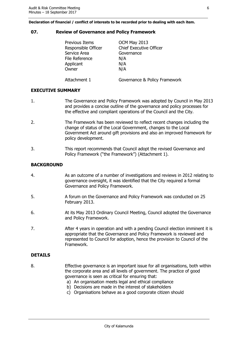**Declaration of financial / conflict of interests to be recorded prior to dealing with each item.**

### <span id="page-5-0"></span>**07. Review of Governance and Policy Framework**

| <b>Previous Items</b> | OCM May 2013                   |
|-----------------------|--------------------------------|
| Responsible Officer   | <b>Chief Executive Officer</b> |
| Service Area          | Governance                     |
| File Reference        | N/A                            |
| Applicant             | N/A                            |
| Owner                 | N/A                            |
| Attachment 1          | Governance & Policy Framework  |

## **EXECUTIVE SUMMARY**

- 1. The Governance and Policy Framework was adopted by Council in May 2013 and provides a concise outline of the governance and policy processes for the effective and compliant operations of the Council and the City.
- 2. The Framework has been reviewed to reflect recent changes including the change of status of the Local Government, changes to the Local Government Act around gift provisions and also an improved framework for policy development.
- 3. This report recommends that Council adopt the revised Governance and Policy Framework ("the Framework") (Attachment 1).

## **BACKGROUND**

- 4. As an outcome of a number of investigations and reviews in 2012 relating to governance oversight, it was identified that the City required a formal Governance and Policy Framework.
- 5. A forum on the Governance and Policy Framework was conducted on 25 February 2013.
- 6. At its May 2013 Ordinary Council Meeting, Council adopted the Governance and Policy Framework.
- 7. After 4 years in operation and with a pending Council election imminent it is appropriate that the Governance and Policy Framework is reviewed and represented to Council for adoption, hence the provision to Council of the Framework.

## **DETAILS**

- 8. Effective governance is an important issue for all organisations, both within the corporate area and all levels of government. The practice of good governance is seen as critical for ensuring that:
	- a) An organisation meets legal and ethical compliance
	- b) Decisions are made in the interest of stakeholders
	- c) Organisations behave as a good corporate citizen should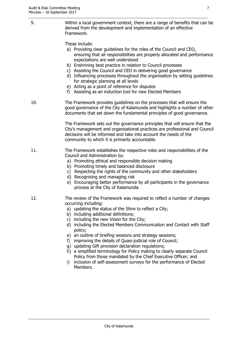9. Within a local government context, there are a range of benefits that can be derived from the development and implementation of an effective Framework.

These include:

- a) Providing clear guidelines for the roles of the Council and CEO, ensuring that all responsibilities are properly allocated and performance expectations are well understood
- b) Enshrining best practice in relation to Council processes
- c) Assisting the Council and CEO in delivering good governance
- d) Influencing processes throughout the organisation by setting guidelines for strategic planning at all levels
- e) Acting as a point of reference for disputes
- f) Assisting as an induction tool for new Elected Members
- 10. The Framework provides guidelines on the processes that will ensure the good governance of the City of Kalamunda and highlights a number of other documents that set down the fundamental principles of good governance.

The Framework sets out the governance principles that will ensure that the City's management and organisational practices are professional and Council decisions will be informed and take into account the needs of the community to which it is primarily accountable.

- 11. The Framework establishes the respective roles and responsibilities of the Council and Administration by:
	- a) Promoting ethical and responsible decision making
	- b) Promoting timely and balanced disclosure
	- c) Respecting the rights of the community and other stakeholders
	- d) Recognising and managing risk
	- e) Encouraging better performance by all participants in the governance process at the City of Kalamunda
- 12. The review of the Framework was required to reflect a number of changes occurring including:
	- a) updating the status of the Shire to reflect a City;
	- b) including additional definitions;
	- c) including the new Vision for the City;
	- d) including the Elected Members Communication and Contact with Staff policy;
	- e) an outline of briefing sessions and strategy sessions;
	- f) improving the details of Quasi-judicial role of Council;
	- g) updating Gift provision declaration regulations;
	- h) a simplified terminology for Policy making to clearly separate Council Policy from those mandated by the Chief Executive Officer; and
	- i) inclusion of self-assessment surveys for the performance of Elected Members.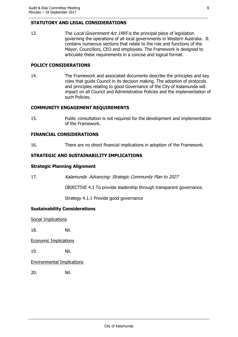## **STATUTORY AND LEGAL CONSIDERATIONS**

13. The Local Government Act 1995 is the principal piece of legislation governing the operations of all local governments in Western Australia. It contains numerous sections that relate to the role and functions of the Mayor, Councillors, CEO and employees. The Framework is designed to articulate these requirements in a concise and logical format.

## **POLICY CONSIDERATIONS**

14. The Framework and associated documents describe the principles and key roles that guide Council in its decision making. The adoption of protocols and principles relating to good Governance of the City of Kalamunda will impact on all Council and Administrative Policies and the implementation of such Policies.

## **COMMUNITY ENGAGEMENT REQUIREMENTS**

15. Public consultation is not required for the development and implementation of the Framework.

## **FINANCIAL CONSIDERATIONS**

16. There are no direct financial implications in adoption of the Framework.

## **STRATEGIC AND SUSTAINABILITY IMPLICATIONS**

## **Strategic Planning Alignment**

17. Kalamunda Advancing: Strategic Community Plan to 2027

OBJECTIVE 4.1 To provide leadership through transparent governance.

Strategy 4.1.1 Provide good governance

## **Sustainability Considerations**

Social Implications

18. Nil.

Economic Implications

19. Nil.

Environmental Implications

20. Nil.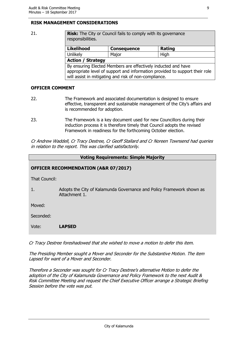## **RISK MANAGEMENT CONSIDERATIONS**

21. **Risk:** The City or Council fails to comply with its governance responsibilities.

| <b>Likelihood</b>                                                           | <b>Consequence</b> | Rating |
|-----------------------------------------------------------------------------|--------------------|--------|
| Unlikely                                                                    | Major              | High   |
| <b>Action / Strategy</b>                                                    |                    |        |
| By ensuring Elected Members are effectively inducted and have               |                    |        |
| appropriate level of support and information provided to support their role |                    |        |
| will assist in mitigating and risk of non-compliance.                       |                    |        |

## **OFFICER COMMENT**

- 22. The Framework and associated documentation is designed to ensure effective, transparent and sustainable management of the City's affairs and is recommended for adoption.
- 23. The Framework is a key document used for new Councillors during their induction process it is therefore timely that Council adopts the revised Framework in readiness for the forthcoming October election.

Cr Andrew Waddell, Cr Tracy Destree, Cr Geoff Stallard and Cr Noreen Townsend had queries in relation to the report. This was clarified satisfactorily.

| <b>Voting Requirements: Simple Majority</b>     |                                                                                        |  |
|-------------------------------------------------|----------------------------------------------------------------------------------------|--|
| <b>OFFICER RECOMMENDATION (A&amp;R 07/2017)</b> |                                                                                        |  |
| That Council:                                   |                                                                                        |  |
| 1.                                              | Adopts the City of Kalamunda Governance and Policy Framework shown as<br>Attachment 1. |  |
| Moved:                                          |                                                                                        |  |
| Seconded:                                       |                                                                                        |  |
| Vote:                                           | <b>LAPSED</b>                                                                          |  |

Cr Tracy Destree foreshadowed that she wished to move a motion to defer this item.

The Presiding Member sought a Mover and Seconder for the Substantive Motion. The item Lapsed for want of a Mover and Seconder.

Therefore a Seconder was sought for Cr Tracy Destree's alternative Motion to defer the adoption of the City of Kalamunda Governance and Policy Framework to the next Audit & Risk Committee Meeting and request the Chief Executive Officer arrange a Strategic Briefing Session before the vote was put.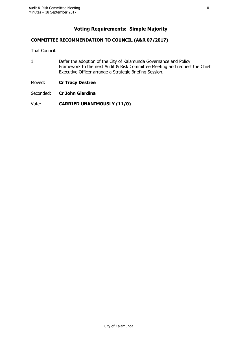## **Voting Requirements: Simple Majority**

## **COMMITTEE RECOMMENDATION TO COUNCIL (A&R 07/2017)**

That Council:

- 1. Defer the adoption of the City of Kalamunda Governance and Policy Framework to the next Audit & Risk Committee Meeting and request the Chief Executive Officer arrange a Strategic Briefing Session.
- Moved: **Cr Tracy Destree**
- Seconded: **Cr John Giardina**

Vote: **CARRIED UNANIMOUSLY (11/0)**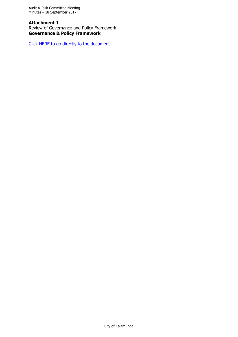### **Attachment 1** Review of Governance and Policy Framework **Governance & Policy Framework**

[Click HERE to go directly to the document](http://www.kalamunda.wa.gov.au/files/93dffac3-a084-4936-8023-a7ef00d47572/Item-7-Att-1-AR-18-September-2017.pdf)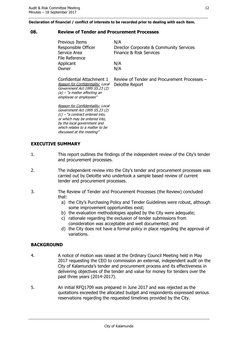#### **Declaration of financial / conflict of interests to be recorded prior to dealing with each item.**

#### <span id="page-11-0"></span>**08. Review of Tender and Procurement Processes**

| Previous Items      | N/A                                     |
|---------------------|-----------------------------------------|
| Responsible Officer | Director Corporate & Community Services |
| Service Area        | Finance & Risk Services                 |
| File Reference      |                                         |
| Applicant           | N/A                                     |
| Owner               | N/A                                     |
|                     |                                         |

Confidential Attachment 1 Reason for Confidentiality: Local Government Act 1995 S5.23 (2) (a) – "a matter affecting an employee or employees"

Review of Tender and Procurement Processes – Deloitte Report

Reason for Confidentiality: Local Government Act 1995 S5.23 (2) (c) – "a contract entered into, or which may be entered into, by the local government and which relates to a matter to be discussed at the meeting"

## **EXECUTIVE SUMMARY**

- 1. This report outlines the findings of the independent review of the City's tender and procurement processes.
- 2. The independent review into the City's tender and procurement processes was carried out by Deloitte who undertook a sample based review of current tender and procurement processes.
- 3. The Review of Tender and Procurement Processes (the Review) concluded that:
	- a) the City's Purchasing Policy and Tender Guidelines were robust, although some improvement opportunities exist;
	- b) the evaluation methodologies applied by the City were adequate;
	- c) rationale regarding the exclusion of tender submissions from consideration was acceptable and well documented; and
	- d) the City does not have a formal policy in place regarding the approval of variations.

## **BACKGROUND**

- 4. A notice of motion was raised at the Ordinary Council Meeting held in May 2017 requesting the CEO to commission an external, independent audit on the City of Kalamunda's tender and procurement process and its effectiveness in delivering objectives of the tender and value for money for tenders over the past three years (2014-2017).
- 5. An initial RFQ1709 was prepared in June 2017 and was rejected as the quotations exceeded the allocated budget and respondents expressed serious reservations regarding the requested timelines provided by the City.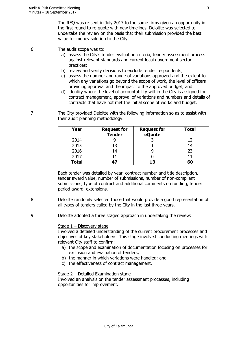The RFQ was re-sent in July 2017 to the same firms given an opportunity in the first round to re-quote with new timelines. Deloitte was selected to undertake the review on the basis that their submission provided the best value for money solution to the City.

- 6. The audit scope was to:
	- a) assess the City's tender evaluation criteria, tender assessment process against relevant standards and current local government sector practices;
	- b) review and verify decisions to exclude tender respondents;
	- c) assess the number and range of variations approved and the extent to which any variations go beyond the scope of work, the level of officers providing approval and the impact to the approved budget; and
	- d) identify where the level of accountability within the City is assigned for contract management, approval of variations and numbers and details of contracts that have not met the initial scope of works and budget.
- 7. The City provided Deloitte with the following information so as to assist with their audit planning methodology.

| Year         | <b>Request for</b><br><b>Tender</b> | <b>Request for</b><br>eQuote | <b>Total</b> |
|--------------|-------------------------------------|------------------------------|--------------|
| 2014         |                                     |                              |              |
| 2015         |                                     |                              |              |
| 2016         | 14                                  |                              |              |
| 2017         |                                     |                              |              |
| <b>Total</b> | 47                                  | 13                           | 60           |

Each tender was detailed by year, contract number and title description, tender award value, number of submissions, number of non-compliant submissions, type of contract and additional comments on funding, tender period award, extensions.

- 8. Deloitte randomly selected those that would provide a good representation of all types of tenders called by the City in the last three years.
- 9. Deloitte adopted a three staged approach in undertaking the review:

#### Stage 1 – Discovery stage

Involved a detailed understanding of the current procurement processes and objectives of key stakeholders. This stage involved conducting meetings with relevant City staff to confirm:

- a) the scope and examination of documentation focusing on processes for exclusion and evaluation of tenders;
- b) the manner in which variations were handled; and
- c) the effectiveness of contract management.

#### Stage 2 – Detailed Examination stage

Involved an analysis on the tender assessment processes, including opportunities for improvement.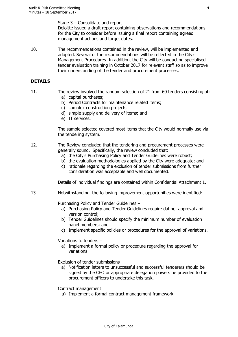Stage 3 – Consolidate and report

Deloitte issued a draft report containing observations and recommendations for the City to consider before issuing a final report containing agreed management actions and target dates.

10. The recommendations contained in the review, will be implemented and adopted. Several of the recommendations will be reflected in the City's Management Procedures. In addition, the City will be conducting specialised tender evaluation training in October 2017 for relevant staff so as to improve their understanding of the tender and procurement processes.

## **DETAILS**

- 
- 11. The review involved the random selection of 21 from 60 tenders consisting of: a) capital purchases;
	- b) Period Contracts for maintenance related items;
	- c) complex construction projects
	- d) simple supply and delivery of items; and
	- e) IT services.

The sample selected covered most items that the City would normally use via the tendering system.

- 12. The Review concluded that the tendering and procurement processes were generally sound. Specifically, the review concluded that:
	- a) the City's Purchasing Policy and Tender Guidelines were robust;
	- b) the evaluation methodologies applied by the City were adequate; and
	- c) rationale regarding the exclusion of tender submissions from further consideration was acceptable and well documented.

Details of individual findings are contained within Confidential Attachment 1.

13. Notwithstanding, the following improvement opportunities were identified:

Purchasing Policy and Tender Guidelines –

- a) Purchasing Policy and Tender Guidelines require dating, approval and version control;
- b) Tender Guidelines should specify the minimum number of evaluation panel members; and
- c) Implement specific policies or procedures for the approval of variations.

Variations to tenders –

a) Implement a formal policy or procedure regarding the approval for variations

Exclusion of tender submissions

a) Notification letters to unsuccessful and successful tenderers should be signed by the CEO or appropriate delegation powers be provided to the procurement officers to undertake this task.

Contract management

a) Implement a formal contract management framework.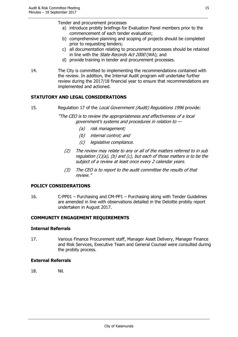Tender and procurement processes

- a) introduce probity briefings for Evaluation Panel members prior to the commencement of each tender evaluation;
- b) comprehensive planning and scoping of projects should be completed prior to requesting tenders;
- c) all documentation relating to procurement processes should be retained in line with the *State Records Act 2000* (WA); and
- d) provide training in tender and procurement processes.
- 14. The City is committed to implementing the recommendations contained with the review. In addition, the Internal Audit program will undertake further review during the 2017/18 financial year to ensure that recommendations are implemented and actioned.

## **STATUTORY AND LEGAL CONSIDERATIONS**

15. Regulation 17 of the Local Government (Audit) Regulations 1996 provide:

"The CEO is to review the appropriateness and effectiveness of a local government's systems and procedures in relation to —

- (a) risk management;
- (b) internal control; and
- (c) legislative compliance.
- (2) The review may relate to any or all of the matters referred to in sub regulation  $(1)(a)$ ,  $(b)$  and  $(c)$ , but each of those matters is to be the subject of a review at least once every 2 calendar years.
- (3) The CEO is to report to the audit committee the results of that review."

#### **POLICY CONSIDERATIONS**

16. C-PP01 – Purchasing and CM-PP1 – Purchasing along with Tender Guidelines are amended in line with observations detailed in the Deloitte probity report undertaken in August 2017.

## **COMMUNITY ENGAGEMENT REQUIREMENTS**

#### **Internal Referrals**

17. Various Finance Procurement staff, Manager Asset Delivery, Manager Finance and Risk Services, Executive Team and General Counsel were consulted during the probity process.

#### **External Referrals**

18. Nil.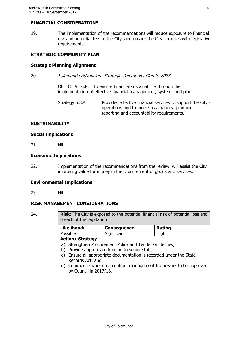## **FINANCIAL CONSIDERATIONS**

19. The implementation of the recommendations will reduce exposure to financial risk and potential loss to the City, and ensure the City complies with legislative requirements.

## **STRATEGIC COMMUNITY PLAN**

## **Strategic Planning Alignment**

20. Kalamunda Advancing: Strategic Community Plan to 2027

OBJECTIVE 6.8: To ensure financial sustainability through the implementation of effective financial management, systems and plans

Strategy 6.8.4 Provides effective financial services to support the City's operations and to meet sustainability, planning, reporting and accountability requirements.

## **SUSTAINABILITY**

#### **Social Implications**

21. Nil.

### **Economic Implications**

22. Implementation of the recommendations from the review, will assist the City improving value for money in the procurement of goods and services.

#### **Environmental Implications**

23. Nil.

## **RISK MANAGEMENT CONSIDERATIONS**

24. **Risk**: The City is exposed to the potential financial risk of potential loss and breach of the legislation

| Likelihood:                                                                                                    | <b>Consequence</b> | Rating |  |
|----------------------------------------------------------------------------------------------------------------|--------------------|--------|--|
| Possible                                                                                                       | Significant        | High   |  |
| <b>Action/ Strategy</b>                                                                                        |                    |        |  |
| a) Strengthen Procurement Policy and Tender Guidelines;<br>Provide appropriate training to senior staff;<br>b) |                    |        |  |

- c) Ensure all appropriate documentation is recorded under the State Records Act; and
- d) Commence work on a contract management framework to be approved by Council in 2017/18.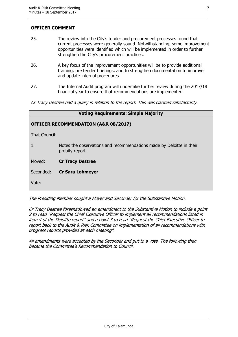## **OFFICER COMMENT**

- 25. The review into the City's tender and procurement processes found that current processes were generally sound. Notwithstanding, some improvement opportunities were identified which will be implemented in order to further strengthen the City's procurement practices.
- 26. A key focus of the improvement opportunities will be to provide additional training, pre tender briefings, and to strengthen documentation to improve and update internal procedures.
- 27. The Internal Audit program will undertake further review during the 2017/18 financial year to ensure that recommendations are implemented.
- Cr Tracy Destree had a query in relation to the report. This was clarified satisfactorily.

| <b>Voting Requirements: Simple Majority</b> |                                                                                         |  |
|---------------------------------------------|-----------------------------------------------------------------------------------------|--|
|                                             | <b>OFFICER RECOMMENDATION (A&amp;R 08/2017)</b>                                         |  |
| That Council:                               |                                                                                         |  |
| 1.                                          | Notes the observations and recommendations made by Deloitte in their<br>probity report. |  |
| Moved:                                      | <b>Cr Tracy Destree</b>                                                                 |  |
| Seconded:                                   | <b>Cr Sara Lohmeyer</b>                                                                 |  |
| Vote:                                       |                                                                                         |  |
|                                             |                                                                                         |  |

The Presiding Member sought a Mover and Seconder for the Substantive Motion.

Cr Tracy Destree foreshadowed an amendment to the Substantive Motion to include a point 2 to read "Request the Chief Executive Officer to implement all recommendations listed in item 4 of the Deloitte report" and a point 3 to read "Request the Chief Executive Officer to report back to the Audit & Risk Committee on implementation of all recommendations with progress reports provided at each meeting".

All amendments were accepted by the Seconder and put to a vote. The following then became the Committee's Recommendation to Council.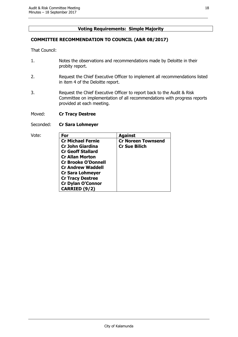## **Voting Requirements: Simple Majority**

## **COMMITTEE RECOMMENDATION TO COUNCIL (A&R 08/2017)**

That Council:

- 1. Notes the observations and recommendations made by Deloitte in their probity report.
- 2. Request the Chief Executive Officer to implement all recommendations listed in item 4 of the Deloitte report.
- 3. Request the Chief Executive Officer to report back to the Audit & Risk Committee on implementation of all recommendations with progress reports provided at each meeting.
- Moved: **Cr Tracy Destree**
- Seconded: **Cr Sara Lohmeyer**

| Vote: | For                        | <b>Against</b>            |
|-------|----------------------------|---------------------------|
|       | <b>Cr Michael Fernie</b>   | <b>Cr Noreen Townsend</b> |
|       | <b>Cr John Giardina</b>    | <b>Cr Sue Bilich</b>      |
|       | <b>Cr Geoff Stallard</b>   |                           |
|       | <b>Cr Allan Morton</b>     |                           |
|       | <b>Cr Brooke O'Donnell</b> |                           |
|       | <b>Cr Andrew Waddell</b>   |                           |
|       | <b>Cr Sara Lohmeyer</b>    |                           |
|       | <b>Cr Tracy Destree</b>    |                           |
|       | <b>Cr Dylan O'Connor</b>   |                           |
|       | CARRIED (9/2)              |                           |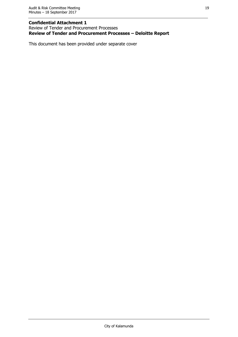## **Confidential Attachment 1**

Review of Tender and Procurement Processes **Review of Tender and Procurement Processes – Deloitte Report**

This document has been provided under separate cover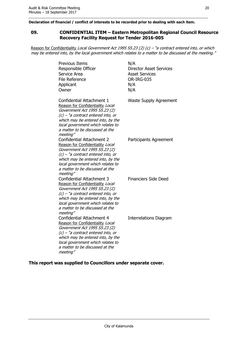**Declaration of financial / conflict of interests to be recorded prior to dealing with each item.**

#### <span id="page-19-0"></span>**09. CONFIDENTIAL ITEM – Eastern Metropolitan Regional Council Resource Recovery Facility Request for Tender 2016-005**

Reason for Confidentiality Local Government Act 1995 S5.23 (2) (c) - "a contract entered into, or which may be entered into, by the local government which relates to a matter to be discussed at the meeting."

| <b>Previous Items</b><br>Responsible Officer<br>Service Area<br><b>File Reference</b><br>Applicant<br>Owner                                                                                                                                                            | N/A<br><b>Director Asset Services</b><br><b>Asset Services</b><br>OR-IRG-035<br>N/A<br>N/A |
|------------------------------------------------------------------------------------------------------------------------------------------------------------------------------------------------------------------------------------------------------------------------|--------------------------------------------------------------------------------------------|
| Confidential Attachment 1<br>Reason for Confidentiality Local<br>Government Act 1995 S5.23 (2)<br>$(c)$ – "a contract entered into, or<br>which may be entered into, by the<br>local government which relates to<br>a matter to be discussed at the<br>meeting"        | <b>Waste Supply Agreement</b>                                                              |
| <b>Confidential Attachment 2</b><br>Reason for Confidentiality Local<br>Government Act 1995 S5.23 (2)<br>$(c)$ – "a contract entered into, or<br>which may be entered into, by the<br>local government which relates to<br>a matter to be discussed at the<br>meeting" | Participants Agreement                                                                     |
| <b>Confidential Attachment 3</b><br>Reason for Confidentiality Local<br>Government Act 1995 S5.23 (2)<br>$(c)$ – "a contract entered into, or<br>which may be entered into, by the<br>local government which relates to<br>a matter to be discussed at the<br>meeting" | <b>Financiers Side Deed</b>                                                                |
| <b>Confidential Attachment 4</b><br>Reason for Confidentiality Local<br>Government Act 1995 S5.23 (2)<br>$(c)$ – "a contract entered into, or<br>which may be entered into, by the<br>local government which relates to<br>a matter to be discussed at the<br>meeting" | Interrelations Diagram                                                                     |

**This report was supplied to Councillors under separate cover.**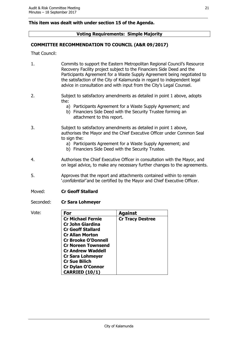## **This item was dealt with under section 15 of the Agenda.**

## **Voting Requirements: Simple Majority**

## **COMMITTEE RECOMMENDATION TO COUNCIL (A&R 09/2017)**

That Council:

- 1. Commits to support the Eastern Metropolitan Regional Council's Resource Recovery Facility project subject to the Financiers Side Deed and the Participants Agreement for a Waste Supply Agreement being negotiated to the satisfaction of the City of Kalamunda in regard to independent legal advice in consultation and with input from the City's Legal Counsel.
- 2. Subject to satisfactory amendments as detailed in point 1 above, adopts the:
	- a) Participants Agreement for a Waste Supply Agreement; and
	- b) Financiers Side Deed with the Security Trustee forming an attachment to this report.
- 3. Subject to satisfactory amendments as detailed in point 1 above, authorises the Mayor and the Chief Executive Officer under Common Seal to sign the:
	- a) Participants Agreement for a Waste Supply Agreement; and
	- b) Financiers Side Deed with the Security Trustee.
- 4. Authorises the Chief Executive Officer in consultation with the Mayor, and on legal advice, to make any necessary further changes to the agreements.
- 5. Approves that the report and attachments contained within to remain 'confidential' and be certified by the Mayor and Chief Executive Officer.
- Moved: **Cr Geoff Stallard**
- Seconded: **Cr Sara Lohmeyer**
- Vote: **For Against Cr Michael Fernie Cr John Giardina Cr Geoff Stallard Cr Allan Morton Cr Brooke O'Donnell Cr Noreen Townsend Cr Andrew Waddell Cr Sara Lohmeyer Cr Sue Bilich Cr Dylan O'Connor CARRIED (10/1) Cr Tracy Destree**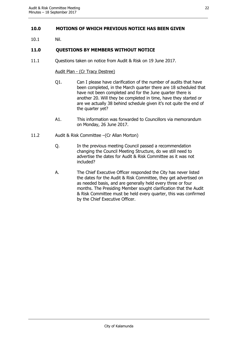## <span id="page-21-0"></span>**10.0 MOTIONS OF WHICH PREVIOUS NOTICE HAS BEEN GIVEN**

10.1 Nil.

## <span id="page-21-1"></span>**11.0 QUESTIONS BY MEMBERS WITHOUT NOTICE**

11.1 Questions taken on notice from Audit & Risk on 19 June 2017.

#### Audit Plan - (Cr Tracy Destree)

- Q1. Can I please have clarification of the number of audits that have been completed, in the March quarter there are 18 scheduled that have not been completed and for the June quarter there is another 20. Will they be completed in time, have they started or are we actually 38 behind schedule given it's not quite the end of the quarter yet?
- A1. This information was forwarded to Councillors via memorandum on Monday, 26 June 2017.
- 11.2 Audit & Risk Committee –(Cr Allan Morton)
	- Q. In the previous meeting Council passed a recommendation changing the Council Meeting Structure, do we still need to advertise the dates for Audit & Risk Committee as it was not included?
	- A. The Chief Executive Officer responded the City has never listed the dates for the Audit & Risk Committee, they get advertised on as needed basis, and are generally held every three or four months. The Presiding Member sought clarification that the Audit & Risk Committee must be held every quarter, this was confirmed by the Chief Executive Officer.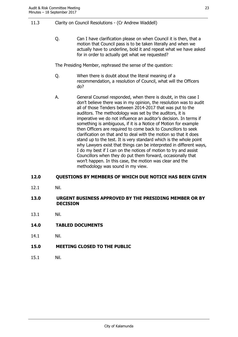## 11.3 Clarity on Council Resolutions - (Cr Andrew Waddell)

Q. Can I have clarification please on when Council it is then, that a motion that Council pass is to be taken literally and when we actually have to underline, bold it and repeat what we have asked for in order to actually get what we requested?

The Presiding Member, rephrased the sense of the question:

- Q. When there is doubt about the literal meaning of a recommendation, a resolution of Council, what will the Officers do?
- A. General Counsel responded, when there is doubt, in this case I don't believe there was in my opinion, the resolution was to audit all of those Tenders between 2014-2017 that was put to the auditors. The methodology was set by the auditors, it is imperative we do not influence an auditor's decision. In terms if something is ambiguous, if it is a Notice of Motion for example then Officers are required to come back to Councillors to seek clarification on that and to deal with the motion so that it does stand up to the test. It is very standard which is the whole point why Lawyers exist that things can be interpreted in different ways, I do my best if I can on the notices of motion to try and assist Councillors when they do put them forward, occasionally that won't happen. In this case, the motion was clear and the methodology was sound in my view.

## <span id="page-22-0"></span>**12.0 QUESTIONS BY MEMBERS OF WHICH DUE NOTICE HAS BEEN GIVEN**

12.1 Nil.

## <span id="page-22-1"></span>**13.0 URGENT BUSINESS APPROVED BY THE PRESIDING MEMBER OR BY DECISION**

- 13.1 Nil.
- <span id="page-22-2"></span>**14.0 TABLED DOCUMENTS**
- 14.1 Nil.
- <span id="page-22-3"></span>**15.0 MEETING CLOSED TO THE PUBLIC**
- 15.1 Nil.